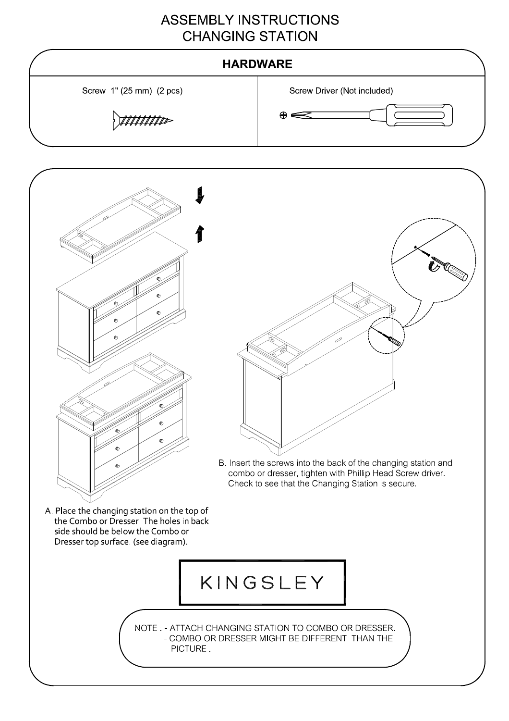### **ASSEMBLY INSTRUCTIONS CHANGING STATION**